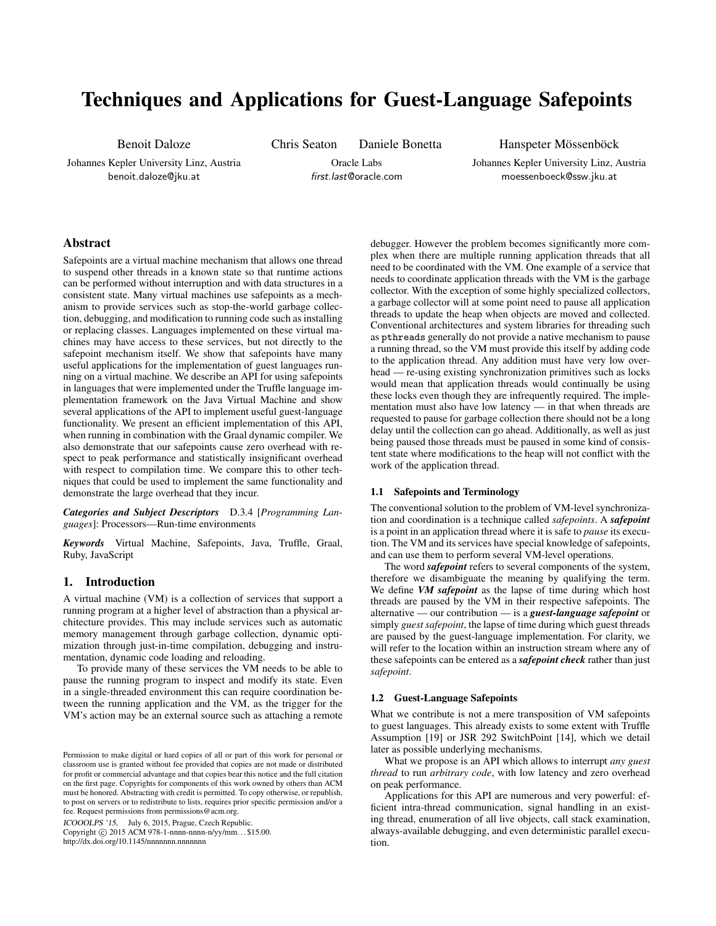# Techniques and Applications for Guest-Language Safepoints

Benoit Daloze

Johannes Kepler University Linz, Austria benoit.daloze@jku.at

Chris Seaton Daniele Bonetta

Hanspeter Mössenböck

Oracle Labs first.last@oracle.com Johannes Kepler University Linz, Austria moessenboeck@ssw.jku.at

Abstract

Safepoints are a virtual machine mechanism that allows one thread to suspend other threads in a known state so that runtime actions can be performed without interruption and with data structures in a consistent state. Many virtual machines use safepoints as a mechanism to provide services such as stop-the-world garbage collection, debugging, and modification to running code such as installing or replacing classes. Languages implemented on these virtual machines may have access to these services, but not directly to the safepoint mechanism itself. We show that safepoints have many useful applications for the implementation of guest languages running on a virtual machine. We describe an API for using safepoints in languages that were implemented under the Truffle language implementation framework on the Java Virtual Machine and show several applications of the API to implement useful guest-language functionality. We present an efficient implementation of this API, when running in combination with the Graal dynamic compiler. We also demonstrate that our safepoints cause zero overhead with respect to peak performance and statistically insignificant overhead with respect to compilation time. We compare this to other techniques that could be used to implement the same functionality and demonstrate the large overhead that they incur.

*Categories and Subject Descriptors* D.3.4 [*Programming Languages*]: Processors—Run-time environments

*Keywords* Virtual Machine, Safepoints, Java, Truffle, Graal, Ruby, JavaScript

# 1. Introduction

A virtual machine (VM) is a collection of services that support a running program at a higher level of abstraction than a physical architecture provides. This may include services such as automatic memory management through garbage collection, dynamic optimization through just-in-time compilation, debugging and instrumentation, dynamic code loading and reloading.

To provide many of these services the VM needs to be able to pause the running program to inspect and modify its state. Even in a single-threaded environment this can require coordination between the running application and the VM, as the trigger for the VM's action may be an external source such as attaching a remote

ICOOOLPS '15, July 6, 2015, Prague, Czech Republic.

Copyright © 2015 ACM 978-1-nnnn-nnnn-n/yy/mm...\$15.00. http://dx.doi.org/10.1145/nnnnnnn.nnnnnnn

debugger. However the problem becomes significantly more complex when there are multiple running application threads that all need to be coordinated with the VM. One example of a service that needs to coordinate application threads with the VM is the garbage collector. With the exception of some highly specialized collectors, a garbage collector will at some point need to pause all application threads to update the heap when objects are moved and collected. Conventional architectures and system libraries for threading such as pthreads generally do not provide a native mechanism to pause a running thread, so the VM must provide this itself by adding code to the application thread. Any addition must have very low overhead — re-using existing synchronization primitives such as locks would mean that application threads would continually be using these locks even though they are infrequently required. The implementation must also have low latency — in that when threads are requested to pause for garbage collection there should not be a long delay until the collection can go ahead. Additionally, as well as just being paused those threads must be paused in some kind of consistent state where modifications to the heap will not conflict with the work of the application thread.

# 1.1 Safepoints and Terminology

The conventional solution to the problem of VM-level synchronization and coordination is a technique called *safepoints*. A *safepoint* is a point in an application thread where it is safe to *pause* its execution. The VM and its services have special knowledge of safepoints, and can use them to perform several VM-level operations.

The word *safepoint* refers to several components of the system, therefore we disambiguate the meaning by qualifying the term. We define *VM safepoint* as the lapse of time during which host threads are paused by the VM in their respective safepoints. The alternative — our contribution — is a *guest-language safepoint* or simply *guest safepoint*, the lapse of time during which guest threads are paused by the guest-language implementation. For clarity, we will refer to the location within an instruction stream where any of these safepoints can be entered as a *safepoint check* rather than just *safepoint*.

### 1.2 Guest-Language Safepoints

What we contribute is not a mere transposition of VM safepoints to guest languages. This already exists to some extent with Truffle Assumption [\[19\]](#page-9-0) or JSR 292 SwitchPoint [\[14\]](#page-9-1), which we detail later as possible underlying mechanisms.

What we propose is an API which allows to interrupt *any guest thread* to run *arbitrary code*, with low latency and zero overhead on peak performance.

Applications for this API are numerous and very powerful: efficient intra-thread communication, signal handling in an existing thread, enumeration of all live objects, call stack examination, always-available debugging, and even deterministic parallel execution.

Permission to make digital or hard copies of all or part of this work for personal or classroom use is granted without fee provided that copies are not made or distributed for profit or commercial advantage and that copies bear this notice and the full citation on the first page. Copyrights for components of this work owned by others than ACM must be honored. Abstracting with credit is permitted. To copy otherwise, or republish, to post on servers or to redistribute to lists, requires prior specific permission and/or a fee. Request permissions from permissions@acm.org.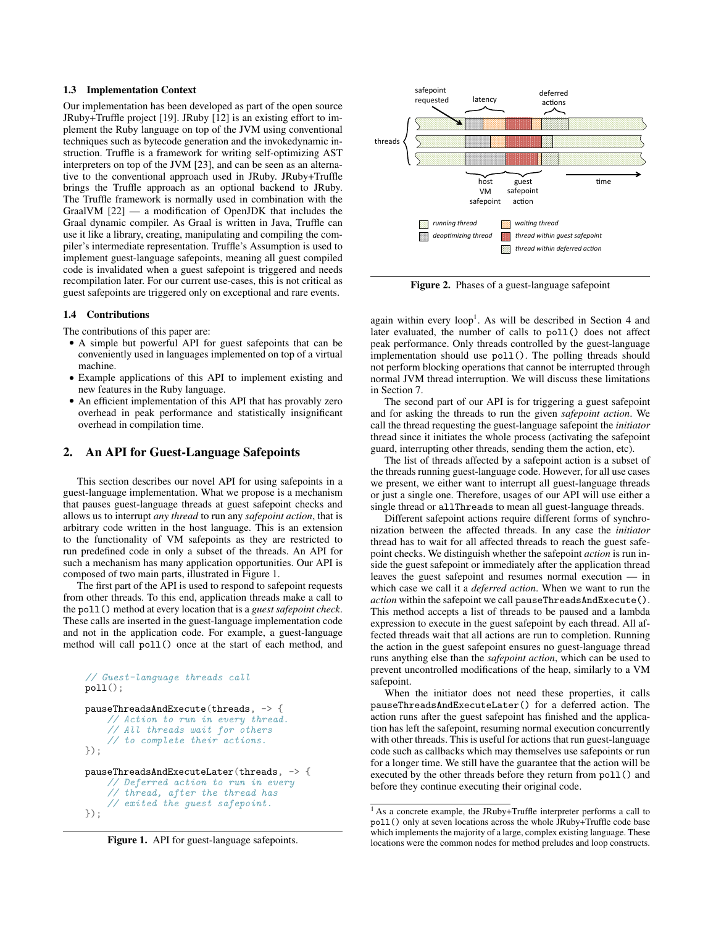### 1.3 Implementation Context

Our implementation has been developed as part of the open source JRuby+Truffle project [\[19\]](#page-9-0). JRuby [\[12\]](#page-9-2) is an existing effort to implement the Ruby language on top of the JVM using conventional techniques such as bytecode generation and the invokedynamic instruction. Truffle is a framework for writing self-optimizing AST interpreters on top of the JVM [\[23\]](#page-9-3), and can be seen as an alternative to the conventional approach used in JRuby. JRuby+Truffle brings the Truffle approach as an optional backend to JRuby. The Truffle framework is normally used in combination with the GraalVM [\[22\]](#page-9-4) — a modification of OpenJDK that includes the Graal dynamic compiler. As Graal is written in Java, Truffle can use it like a library, creating, manipulating and compiling the compiler's intermediate representation. Truffle's Assumption is used to implement guest-language safepoints, meaning all guest compiled code is invalidated when a guest safepoint is triggered and needs recompilation later. For our current use-cases, this is not critical as guest safepoints are triggered only on exceptional and rare events.

### 1.4 Contributions

The contributions of this paper are:

- A simple but powerful API for guest safepoints that can be conveniently used in languages implemented on top of a virtual machine.
- Example applications of this API to implement existing and new features in the Ruby language.
- An efficient implementation of this API that has provably zero overhead in peak performance and statistically insignificant overhead in compilation time.

### 2. An API for Guest-Language Safepoints

This section describes our novel API for using safepoints in a guest-language implementation. What we propose is a mechanism that pauses guest-language threads at guest safepoint checks and allows us to interrupt *any thread* to run any *safepoint action*, that is arbitrary code written in the host language. This is an extension to the functionality of VM safepoints as they are restricted to run predefined code in only a subset of the threads. An API for such a mechanism has many application opportunities. Our API is composed of two main parts, illustrated in Figure [1.](#page-1-0)

The first part of the API is used to respond to safepoint requests from other threads. To this end, application threads make a call to the poll() method at every location that is a *guest safepoint check*. These calls are inserted in the guest-language implementation code and not in the application code. For example, a guest-language method will call poll() once at the start of each method, and

```
// Guest-language threads call
poll();
pauseThreadsAndExecute(threads, -> {
    // Action to run in every thread.
    // All threads wait for others
    // to complete their actions.
});
pauseThreadsAndExecuteLater(threads, -> {
    // Deferred action to run in every
    // thread, after the thread has
    // exited the guest safepoint.
});
```
<span id="page-1-0"></span>Figure 1. API for guest-language safepoints.



<span id="page-1-2"></span>Figure 2. Phases of a guest-language safepoint

again within every  $loop<sup>1</sup>$  $loop<sup>1</sup>$  $loop<sup>1</sup>$ . As will be described in Section [4](#page-3-0) and later evaluated, the number of calls to poll() does not affect peak performance. Only threads controlled by the guest-language implementation should use poll(). The polling threads should not perform blocking operations that cannot be interrupted through normal JVM thread interruption. We will discuss these limitations in Section [7.](#page-8-0)

The second part of our API is for triggering a guest safepoint and for asking the threads to run the given *safepoint action*. We call the thread requesting the guest-language safepoint the *initiator* thread since it initiates the whole process (activating the safepoint guard, interrupting other threads, sending them the action, etc).

The list of threads affected by a safepoint action is a subset of the threads running guest-language code. However, for all use cases we present, we either want to interrupt all guest-language threads or just a single one. Therefore, usages of our API will use either a single thread or allThreads to mean all guest-language threads.

Different safepoint actions require different forms of synchronization between the affected threads. In any case the *initiator* thread has to wait for all affected threads to reach the guest safepoint checks. We distinguish whether the safepoint *action* is run inside the guest safepoint or immediately after the application thread leaves the guest safepoint and resumes normal execution — in which case we call it a *deferred action*. When we want to run the *action* within the safepoint we call pauseThreadsAndExecute(). This method accepts a list of threads to be paused and a lambda expression to execute in the guest safepoint by each thread. All affected threads wait that all actions are run to completion. Running the action in the guest safepoint ensures no guest-language thread runs anything else than the *safepoint action*, which can be used to prevent uncontrolled modifications of the heap, similarly to a VM safepoint.

When the initiator does not need these properties, it calls pauseThreadsAndExecuteLater() for a deferred action. The action runs after the guest safepoint has finished and the application has left the safepoint, resuming normal execution concurrently with other threads. This is useful for actions that run guest-language code such as callbacks which may themselves use safepoints or run for a longer time. We still have the guarantee that the action will be executed by the other threads before they return from poll() and before they continue executing their original code.

<span id="page-1-1"></span><sup>&</sup>lt;sup>1</sup> As a concrete example, the JRuby+Truffle interpreter performs a call to poll() only at seven locations across the whole JRuby+Truffle code base which implements the majority of a large, complex existing language. These locations were the common nodes for method preludes and loop constructs.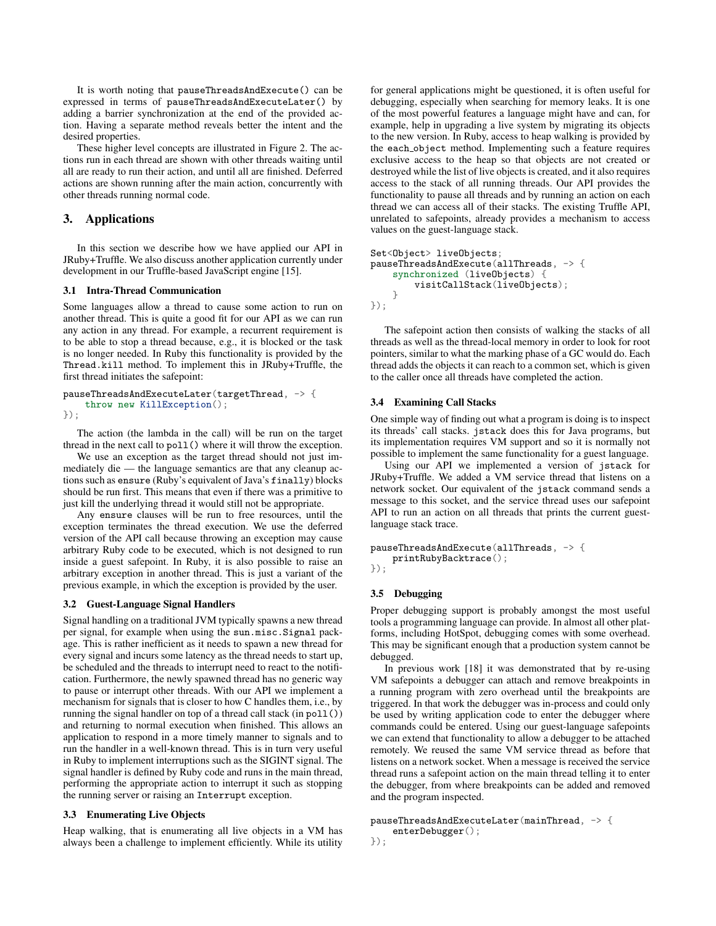It is worth noting that pauseThreadsAndExecute() can be expressed in terms of pauseThreadsAndExecuteLater() by adding a barrier synchronization at the end of the provided action. Having a separate method reveals better the intent and the desired properties.

These higher level concepts are illustrated in Figure [2.](#page-1-2) The actions run in each thread are shown with other threads waiting until all are ready to run their action, and until all are finished. Deferred actions are shown running after the main action, concurrently with other threads running normal code.

# <span id="page-2-0"></span>3. Applications

In this section we describe how we have applied our API in JRuby+Truffle. We also discuss another application currently under development in our Truffle-based JavaScript engine [\[15\]](#page-9-5).

### 3.1 Intra-Thread Communication

Some languages allow a thread to cause some action to run on another thread. This is quite a good fit for our API as we can run any action in any thread. For example, a recurrent requirement is to be able to stop a thread because, e.g., it is blocked or the task is no longer needed. In Ruby this functionality is provided by the Thread.kill method. To implement this in JRuby+Truffle, the first thread initiates the safepoint:

```
pauseThreadsAndExecuteLater(targetThread, -> {
    throw new KillException();
});
```
The action (the lambda in the call) will be run on the target thread in the next call to poll() where it will throw the exception.

We use an exception as the target thread should not just immediately die — the language semantics are that any cleanup actions such as ensure (Ruby's equivalent of Java's finally) blocks should be run first. This means that even if there was a primitive to just kill the underlying thread it would still not be appropriate.

Any ensure clauses will be run to free resources, until the exception terminates the thread execution. We use the deferred version of the API call because throwing an exception may cause arbitrary Ruby code to be executed, which is not designed to run inside a guest safepoint. In Ruby, it is also possible to raise an arbitrary exception in another thread. This is just a variant of the previous example, in which the exception is provided by the user.

### 3.2 Guest-Language Signal Handlers

Signal handling on a traditional JVM typically spawns a new thread per signal, for example when using the sun.misc.Signal package. This is rather inefficient as it needs to spawn a new thread for every signal and incurs some latency as the thread needs to start up, be scheduled and the threads to interrupt need to react to the notification. Furthermore, the newly spawned thread has no generic way to pause or interrupt other threads. With our API we implement a mechanism for signals that is closer to how C handles them, i.e., by running the signal handler on top of a thread call stack (in poll()) and returning to normal execution when finished. This allows an application to respond in a more timely manner to signals and to run the handler in a well-known thread. This is in turn very useful in Ruby to implement interruptions such as the SIGINT signal. The signal handler is defined by Ruby code and runs in the main thread, performing the appropriate action to interrupt it such as stopping the running server or raising an Interrupt exception.

### 3.3 Enumerating Live Objects

Heap walking, that is enumerating all live objects in a VM has always been a challenge to implement efficiently. While its utility

for general applications might be questioned, it is often useful for debugging, especially when searching for memory leaks. It is one of the most powerful features a language might have and can, for example, help in upgrading a live system by migrating its objects to the new version. In Ruby, access to heap walking is provided by the each object method. Implementing such a feature requires exclusive access to the heap so that objects are not created or destroyed while the list of live objects is created, and it also requires access to the stack of all running threads. Our API provides the functionality to pause all threads and by running an action on each thread we can access all of their stacks. The existing Truffle API, unrelated to safepoints, already provides a mechanism to access values on the guest-language stack.

```
Set<Object> liveObjects;
pauseThreadsAndExecute(allThreads, -> {
    synchronized (liveObjects) {
        visitCallStack(liveObjects);
    }
});
```
The safepoint action then consists of walking the stacks of all threads as well as the thread-local memory in order to look for root pointers, similar to what the marking phase of a GC would do. Each thread adds the objects it can reach to a common set, which is given to the caller once all threads have completed the action.

### 3.4 Examining Call Stacks

One simple way of finding out what a program is doing is to inspect its threads' call stacks. jstack does this for Java programs, but its implementation requires VM support and so it is normally not possible to implement the same functionality for a guest language.

Using our API we implemented a version of jstack for JRuby+Truffle. We added a VM service thread that listens on a network socket. Our equivalent of the jstack command sends a message to this socket, and the service thread uses our safepoint API to run an action on all threads that prints the current guestlanguage stack trace.

```
pauseThreadsAndExecute(allThreads, -> {
    printRubyBacktrace();
});
```
### 3.5 Debugging

Proper debugging support is probably amongst the most useful tools a programming language can provide. In almost all other platforms, including HotSpot, debugging comes with some overhead. This may be significant enough that a production system cannot be debugged.

In previous work [\[18\]](#page-9-6) it was demonstrated that by re-using VM safepoints a debugger can attach and remove breakpoints in a running program with zero overhead until the breakpoints are triggered. In that work the debugger was in-process and could only be used by writing application code to enter the debugger where commands could be entered. Using our guest-language safepoints we can extend that functionality to allow a debugger to be attached remotely. We reused the same VM service thread as before that listens on a network socket. When a message is received the service thread runs a safepoint action on the main thread telling it to enter the debugger, from where breakpoints can be added and removed and the program inspected.

```
pauseThreadsAndExecuteLater(mainThread, -> {
```

```
enterDebugger();
});
```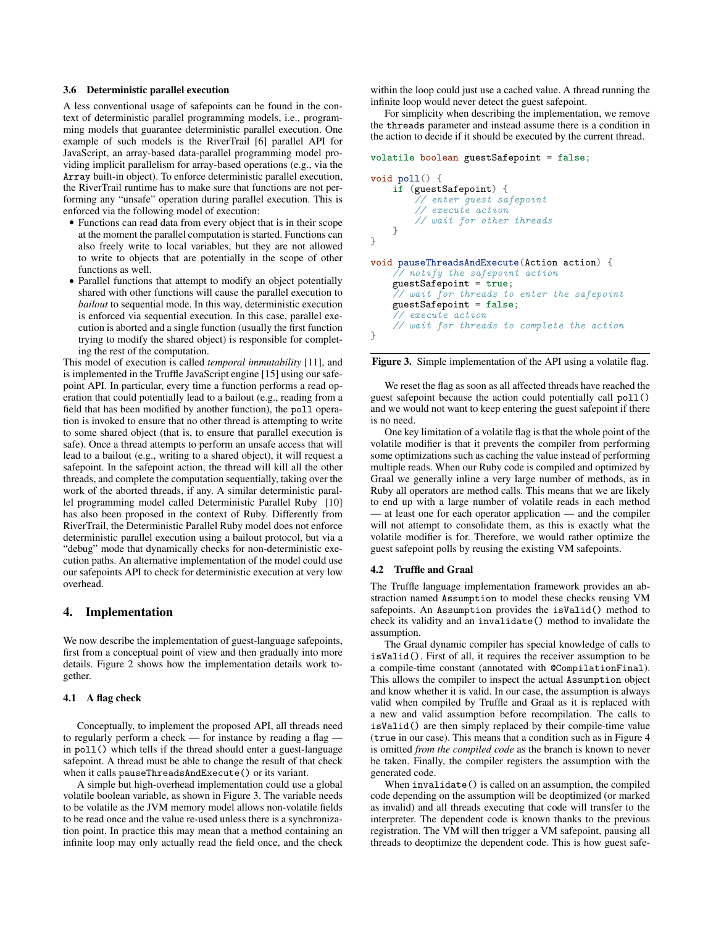### 3.6 Deterministic parallel execution

A less conventional usage of safepoints can be found in the context of deterministic parallel programming models, i.e., programming models that guarantee deterministic parallel execution. One example of such models is the RiverTrail [\[6\]](#page-9-7) parallel API for JavaScript, an array-based data-parallel programming model providing implicit parallelism for array-based operations (e.g., via the Array built-in object). To enforce deterministic parallel execution, the RiverTrail runtime has to make sure that functions are not performing any "unsafe" operation during parallel execution. This is enforced via the following model of execution:

- Functions can read data from every object that is in their scope at the moment the parallel computation is started. Functions can also freely write to local variables, but they are not allowed to write to objects that are potentially in the scope of other functions as well.
- Parallel functions that attempt to modify an object potentially shared with other functions will cause the parallel execution to *bailout* to sequential mode. In this way, deterministic execution is enforced via sequential execution. In this case, parallel execution is aborted and a single function (usually the first function trying to modify the shared object) is responsible for completing the rest of the computation.

This model of execution is called *temporal immutability* [\[11\]](#page-9-8), and is implemented in the Truffle JavaScript engine [\[15\]](#page-9-5) using our safepoint API. In particular, every time a function performs a read operation that could potentially lead to a bailout (e.g., reading from a field that has been modified by another function), the poll operation is invoked to ensure that no other thread is attempting to write to some shared object (that is, to ensure that parallel execution is safe). Once a thread attempts to perform an unsafe access that will lead to a bailout (e.g., writing to a shared object), it will request a safepoint. In the safepoint action, the thread will kill all the other threads, and complete the computation sequentially, taking over the work of the aborted threads, if any. A similar deterministic parallel programming model called Deterministic Parallel Ruby [\[10\]](#page-9-9) has also been proposed in the context of Ruby. Differently from RiverTrail, the Deterministic Parallel Ruby model does not enforce deterministic parallel execution using a bailout protocol, but via a "debug" mode that dynamically checks for non-deterministic execution paths. An alternative implementation of the model could use our safepoints API to check for deterministic execution at very low overhead.

# <span id="page-3-0"></span>4. Implementation

We now describe the implementation of guest-language safepoints, first from a conceptual point of view and then gradually into more details. Figure [2](#page-1-2) shows how the implementation details work together.

### <span id="page-3-2"></span>4.1 A flag check

Conceptually, to implement the proposed API, all threads need to regularly perform a check — for instance by reading a flag in poll() which tells if the thread should enter a guest-language safepoint. A thread must be able to change the result of that check when it calls pauseThreadsAndExecute() or its variant.

A simple but high-overhead implementation could use a global volatile boolean variable, as shown in Figure [3.](#page-3-1) The variable needs to be volatile as the JVM memory model allows non-volatile fields to be read once and the value re-used unless there is a synchronization point. In practice this may mean that a method containing an infinite loop may only actually read the field once, and the check within the loop could just use a cached value. A thread running the infinite loop would never detect the guest safepoint.

For simplicity when describing the implementation, we remove the threads parameter and instead assume there is a condition in the action to decide if it should be executed by the current thread.

```
volatile boolean guestSafepoint = false;
```

```
void poll() {
    if (guestSafepoint) {
        // enter guest safepoint
        // execute action
        // wait for other threads
    }
}
void pauseThreadsAndExecute(Action action) {
    // notify the safepoint action
    guestSafepoint = true;
    // wait for threads to enter the safepoint
    guestSafepoint = false;
    // execute action
    // wait for threads to complete the action
}
```
<span id="page-3-1"></span>Figure 3. Simple implementation of the API using a volatile flag.

We reset the flag as soon as all affected threads have reached the guest safepoint because the action could potentially call poll() and we would not want to keep entering the guest safepoint if there is no need.

One key limitation of a volatile flag is that the whole point of the volatile modifier is that it prevents the compiler from performing some optimizations such as caching the value instead of performing multiple reads. When our Ruby code is compiled and optimized by Graal we generally inline a very large number of methods, as in Ruby all operators are method calls. This means that we are likely to end up with a large number of volatile reads in each method — at least one for each operator application — and the compiler will not attempt to consolidate them, as this is exactly what the volatile modifier is for. Therefore, we would rather optimize the guest safepoint polls by reusing the existing VM safepoints.

### 4.2 Truffle and Graal

The Truffle language implementation framework provides an abstraction named Assumption to model these checks reusing VM safepoints. An Assumption provides the isValid() method to check its validity and an invalidate() method to invalidate the assumption.

The Graal dynamic compiler has special knowledge of calls to isValid(). First of all, it requires the receiver assumption to be a compile-time constant (annotated with @CompilationFinal). This allows the compiler to inspect the actual Assumption object and know whether it is valid. In our case, the assumption is always valid when compiled by Truffle and Graal as it is replaced with a new and valid assumption before recompilation. The calls to isValid() are then simply replaced by their compile-time value (true in our case). This means that a condition such as in Figure [4](#page-4-0) is omitted *from the compiled code* as the branch is known to never be taken. Finally, the compiler registers the assumption with the generated code.

When invalidate() is called on an assumption, the compiled code depending on the assumption will be deoptimized (or marked as invalid) and all threads executing that code will transfer to the interpreter. The dependent code is known thanks to the previous registration. The VM will then trigger a VM safepoint, pausing all threads to deoptimize the dependent code. This is how guest safe-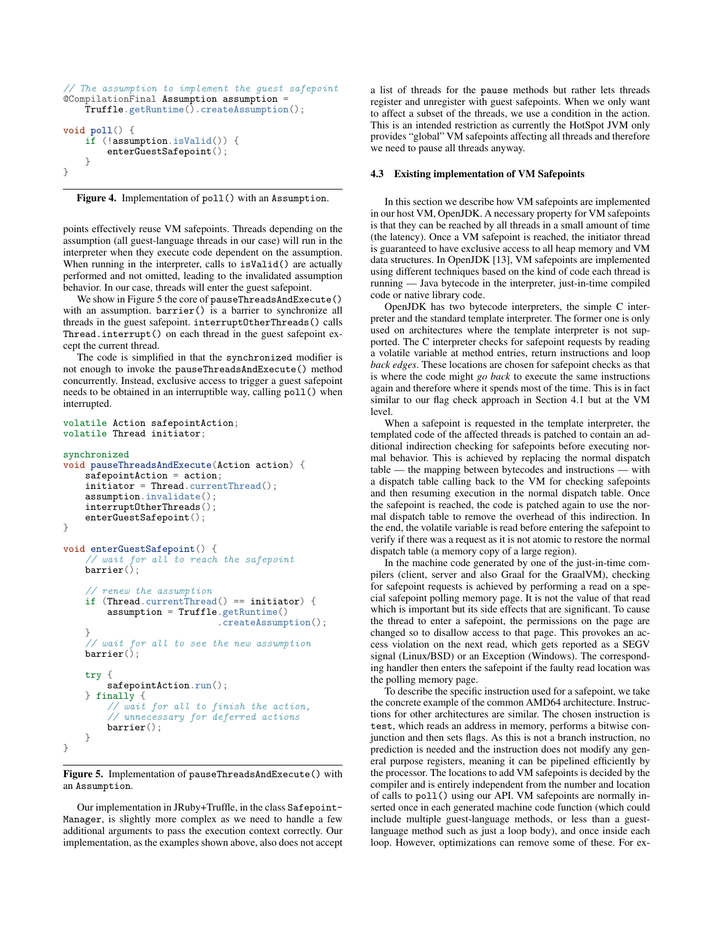```
// The assumption to implement the guest safepoint
@CompilationFinal Assumption assumption =
    Truffle.getRuntime().createAssumption();
void poll() {
    if (!assumption.isValid()) {
        enterGuestSafepoint();
    }
}
```
<span id="page-4-0"></span>Figure 4. Implementation of poll() with an Assumption.

points effectively reuse VM safepoints. Threads depending on the assumption (all guest-language threads in our case) will run in the interpreter when they execute code dependent on the assumption. When running in the interpreter, calls to isValid() are actually performed and not omitted, leading to the invalidated assumption behavior. In our case, threads will enter the guest safepoint.

We show in Figure [5](#page-4-1) the core of pauseThreadsAndExecute() with an assumption. barrier() is a barrier to synchronize all threads in the guest safepoint. interruptOtherThreads() calls Thread.interrupt() on each thread in the guest safepoint except the current thread.

The code is simplified in that the synchronized modifier is not enough to invoke the pauseThreadsAndExecute() method concurrently. Instead, exclusive access to trigger a guest safepoint needs to be obtained in an interruptible way, calling poll() when interrupted.

volatile Action safepointAction;

```
volatile Thread initiator;
synchronized
void pauseThreadsAndExecute(Action action) {
    safepointAction = action;
    initiator = Thread.currentThread();
    assumption.invalidate();
    interruptOtherThreads();
    enterGuestSafepoint();
}
void enterGuestSafepoint() {
    // wait for all to reach the safepoint
    barrier();
    // renew the assumption
    if (Thread.currentThread() == initiator) {
        assumption = Truffle.getRuntime()
                             .createAssumption();
    }
    // wait for all to see the new assumption
    barrier();
    try {
        safepointAction.run();
    } finally {
        // wait for all to finish the action,
        // unnecessary for deferred actions
        barrier();
    }
}
```
<span id="page-4-1"></span>Figure 5. Implementation of pauseThreadsAndExecute() with an Assumption.

Our implementation in JRuby+Truffle, in the class Safepoint-Manager, is slightly more complex as we need to handle a few additional arguments to pass the execution context correctly. Our implementation, as the examples shown above, also does not accept a list of threads for the pause methods but rather lets threads register and unregister with guest safepoints. When we only want to affect a subset of the threads, we use a condition in the action. This is an intended restriction as currently the HotSpot JVM only provides "global" VM safepoints affecting all threads and therefore we need to pause all threads anyway.

### <span id="page-4-2"></span>4.3 Existing implementation of VM Safepoints

In this section we describe how VM safepoints are implemented in our host VM, OpenJDK. A necessary property for VM safepoints is that they can be reached by all threads in a small amount of time (the latency). Once a VM safepoint is reached, the initiator thread is guaranteed to have exclusive access to all heap memory and VM data structures. In OpenJDK [\[13\]](#page-9-10), VM safepoints are implemented using different techniques based on the kind of code each thread is running — Java bytecode in the interpreter, just-in-time compiled code or native library code.

OpenJDK has two bytecode interpreters, the simple C interpreter and the standard template interpreter. The former one is only used on architectures where the template interpreter is not supported. The C interpreter checks for safepoint requests by reading a volatile variable at method entries, return instructions and loop *back edges*. These locations are chosen for safepoint checks as that is where the code might *go back* to execute the same instructions again and therefore where it spends most of the time. This is in fact similar to our flag check approach in Section [4.1](#page-3-2) but at the VM level.

When a safepoint is requested in the template interpreter, the templated code of the affected threads is patched to contain an additional indirection checking for safepoints before executing normal behavior. This is achieved by replacing the normal dispatch table — the mapping between bytecodes and instructions — with a dispatch table calling back to the VM for checking safepoints and then resuming execution in the normal dispatch table. Once the safepoint is reached, the code is patched again to use the normal dispatch table to remove the overhead of this indirection. In the end, the volatile variable is read before entering the safepoint to verify if there was a request as it is not atomic to restore the normal dispatch table (a memory copy of a large region).

In the machine code generated by one of the just-in-time compilers (client, server and also Graal for the GraalVM), checking for safepoint requests is achieved by performing a read on a special safepoint polling memory page. It is not the value of that read which is important but its side effects that are significant. To cause the thread to enter a safepoint, the permissions on the page are changed so to disallow access to that page. This provokes an access violation on the next read, which gets reported as a SEGV signal (Linux/BSD) or an Exception (Windows). The corresponding handler then enters the safepoint if the faulty read location was the polling memory page.

To describe the specific instruction used for a safepoint, we take the concrete example of the common AMD64 architecture. Instructions for other architectures are similar. The chosen instruction is test, which reads an address in memory, performs a bitwise conjunction and then sets flags. As this is not a branch instruction, no prediction is needed and the instruction does not modify any general purpose registers, meaning it can be pipelined efficiently by the processor. The locations to add VM safepoints is decided by the compiler and is entirely independent from the number and location of calls to poll() using our API. VM safepoints are normally inserted once in each generated machine code function (which could include multiple guest-language methods, or less than a guestlanguage method such as just a loop body), and once inside each loop. However, optimizations can remove some of these. For ex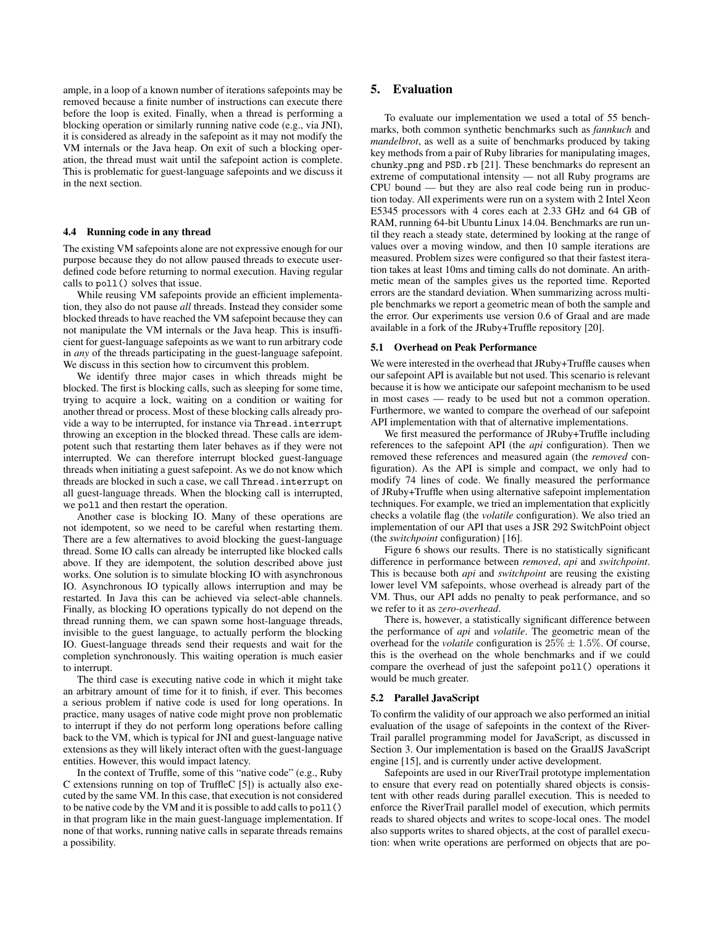ample, in a loop of a known number of iterations safepoints may be removed because a finite number of instructions can execute there before the loop is exited. Finally, when a thread is performing a blocking operation or similarly running native code (e.g., via JNI), it is considered as already in the safepoint as it may not modify the VM internals or the Java heap. On exit of such a blocking operation, the thread must wait until the safepoint action is complete. This is problematic for guest-language safepoints and we discuss it in the next section.

### 4.4 Running code in any thread

The existing VM safepoints alone are not expressive enough for our purpose because they do not allow paused threads to execute userdefined code before returning to normal execution. Having regular calls to poll() solves that issue.

While reusing VM safepoints provide an efficient implementation, they also do not pause *all* threads. Instead they consider some blocked threads to have reached the VM safepoint because they can not manipulate the VM internals or the Java heap. This is insufficient for guest-language safepoints as we want to run arbitrary code in *any* of the threads participating in the guest-language safepoint. We discuss in this section how to circumvent this problem.

We identify three major cases in which threads might be blocked. The first is blocking calls, such as sleeping for some time, trying to acquire a lock, waiting on a condition or waiting for another thread or process. Most of these blocking calls already provide a way to be interrupted, for instance via Thread.interrupt throwing an exception in the blocked thread. These calls are idempotent such that restarting them later behaves as if they were not interrupted. We can therefore interrupt blocked guest-language threads when initiating a guest safepoint. As we do not know which threads are blocked in such a case, we call Thread.interrupt on all guest-language threads. When the blocking call is interrupted, we poll and then restart the operation.

Another case is blocking IO. Many of these operations are not idempotent, so we need to be careful when restarting them. There are a few alternatives to avoid blocking the guest-language thread. Some IO calls can already be interrupted like blocked calls above. If they are idempotent, the solution described above just works. One solution is to simulate blocking IO with asynchronous IO. Asynchronous IO typically allows interruption and may be restarted. In Java this can be achieved via select-able channels. Finally, as blocking IO operations typically do not depend on the thread running them, we can spawn some host-language threads, invisible to the guest language, to actually perform the blocking IO. Guest-language threads send their requests and wait for the completion synchronously. This waiting operation is much easier to interrupt.

The third case is executing native code in which it might take an arbitrary amount of time for it to finish, if ever. This becomes a serious problem if native code is used for long operations. In practice, many usages of native code might prove non problematic to interrupt if they do not perform long operations before calling back to the VM, which is typical for JNI and guest-language native extensions as they will likely interact often with the guest-language entities. However, this would impact latency.

In the context of Truffle, some of this "native code" (e.g., Ruby C extensions running on top of TruffleC [\[5\]](#page-9-11)) is actually also executed by the same VM. In this case, that execution is not considered to be native code by the VM and it is possible to add calls to poll() in that program like in the main guest-language implementation. If none of that works, running native calls in separate threads remains a possibility.

# 5. Evaluation

To evaluate our implementation we used a total of 55 benchmarks, both common synthetic benchmarks such as *fannkuch* and *mandelbrot*, as well as a suite of benchmarks produced by taking key methods from a pair of Ruby libraries for manipulating images, chunky png and PSD.rb [\[21\]](#page-9-12). These benchmarks do represent an extreme of computational intensity — not all Ruby programs are CPU bound — but they are also real code being run in production today. All experiments were run on a system with 2 Intel Xeon E5345 processors with 4 cores each at 2.33 GHz and 64 GB of RAM, running 64-bit Ubuntu Linux 14.04. Benchmarks are run until they reach a steady state, determined by looking at the range of values over a moving window, and then 10 sample iterations are measured. Problem sizes were configured so that their fastest iteration takes at least 10ms and timing calls do not dominate. An arithmetic mean of the samples gives us the reported time. Reported errors are the standard deviation. When summarizing across multiple benchmarks we report a geometric mean of both the sample and the error. Our experiments use version 0.6 of Graal and are made available in a fork of the JRuby+Truffle repository [\[20\]](#page-9-13).

### 5.1 Overhead on Peak Performance

We were interested in the overhead that JRuby+Truffle causes when our safepoint API is available but not used. This scenario is relevant because it is how we anticipate our safepoint mechanism to be used in most cases — ready to be used but not a common operation. Furthermore, we wanted to compare the overhead of our safepoint API implementation with that of alternative implementations.

We first measured the performance of JRuby+Truffle including references to the safepoint API (the *api* configuration). Then we removed these references and measured again (the *removed* configuration). As the API is simple and compact, we only had to modify 74 lines of code. We finally measured the performance of JRuby+Truffle when using alternative safepoint implementation techniques. For example, we tried an implementation that explicitly checks a volatile flag (the *volatile* configuration). We also tried an implementation of our API that uses a JSR 292 SwitchPoint object (the *switchpoint* configuration) [\[16\]](#page-9-14).

Figure [6](#page-6-0) shows our results. There is no statistically significant difference in performance between *removed*, *api* and *switchpoint*. This is because both *api* and *switchpoint* are reusing the existing lower level VM safepoints, whose overhead is already part of the VM. Thus, our API adds no penalty to peak performance, and so we refer to it as *zero-overhead*.

There is, however, a statistically significant difference between the performance of *api* and *volatile*. The geometric mean of the overhead for the *volatile* configuration is  $25\% \pm 1.5\%$ . Of course, this is the overhead on the whole benchmarks and if we could compare the overhead of just the safepoint poll() operations it would be much greater.

### 5.2 Parallel JavaScript

To confirm the validity of our approach we also performed an initial evaluation of the usage of safepoints in the context of the River-Trail parallel programming model for JavaScript, as discussed in Section [3.](#page-2-0) Our implementation is based on the GraalJS JavaScript engine [\[15\]](#page-9-5), and is currently under active development.

Safepoints are used in our RiverTrail prototype implementation to ensure that every read on potentially shared objects is consistent with other reads during parallel execution. This is needed to enforce the RiverTrail parallel model of execution, which permits reads to shared objects and writes to scope-local ones. The model also supports writes to shared objects, at the cost of parallel execution: when write operations are performed on objects that are po-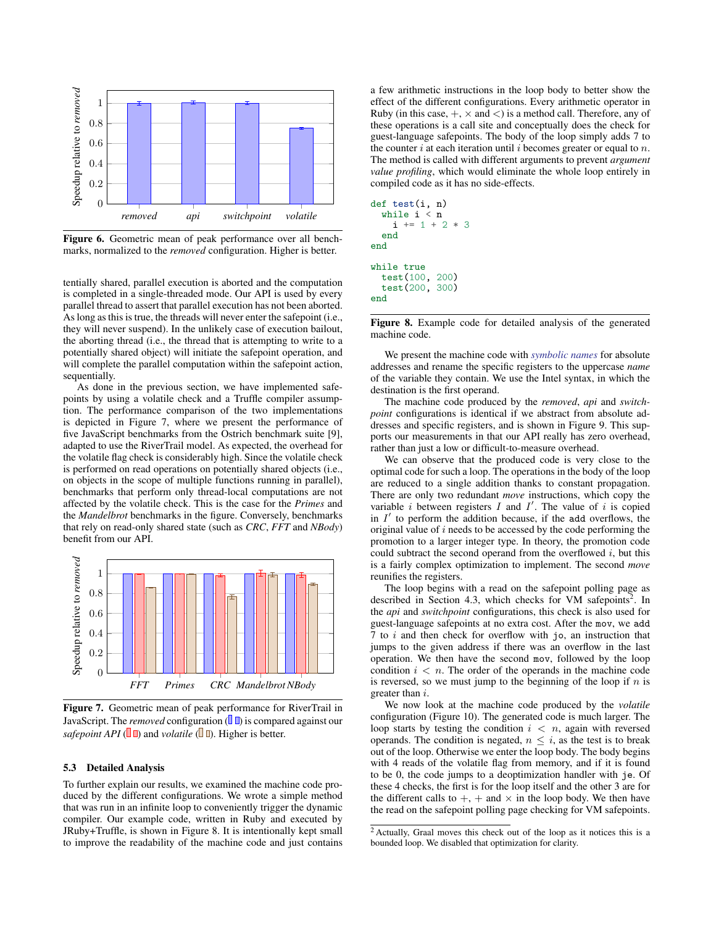

Figure 6. Geometric mean of peak performance over all benchmarks, normalized to the *removed* configuration. Higher is better.

tentially shared, parallel execution is aborted and the computation is completed in a single-threaded mode. Our API is used by every parallel thread to assert that parallel execution has not been aborted. As long as this is true, the threads will never enter the safepoint (i.e., they will never suspend). In the unlikely case of execution bailout, the aborting thread (i.e., the thread that is attempting to write to a potentially shared object) will initiate the safepoint operation, and will complete the parallel computation within the safepoint action, sequentially.

As done in the previous section, we have implemented safepoints by using a volatile check and a Truffle compiler assumption. The performance comparison of the two implementations is depicted in Figure [7,](#page-6-1) where we present the performance of five JavaScript benchmarks from the Ostrich benchmark suite [\[9\]](#page-9-15), adapted to use the RiverTrail model. As expected, the overhead for the volatile flag check is considerably high. Since the volatile check is performed on read operations on potentially shared objects (i.e., on objects in the scope of multiple functions running in parallel), benchmarks that perform only thread-local computations are not affected by the volatile check. This is the case for the *Primes* and the *Mandelbrot* benchmarks in the figure. Conversely, benchmarks that rely on read-only shared state (such as *CRC*, *FFT* and *NBody*) benefit from our API.



<span id="page-6-2"></span>Figure 7. Geometric mean of peak performance for RiverTrail in JavaScript. The *removed* configuration ( $\Box$ [\)](#page-6-2) is compared against our *safepoint API* ( $\Box$ [\)](#page-6-2) and *volatile* ( $\Box$ ). Higher is better.

### 5.3 Detailed Analysis

To further explain our results, we examined the machine code produced by the different configurations. We wrote a simple method that was run in an infinite loop to conveniently trigger the dynamic compiler. Our example code, written in Ruby and executed by JRuby+Truffle, is shown in Figure [8.](#page-6-3) It is intentionally kept small to improve the readability of the machine code and just contains a few arithmetic instructions in the loop body to better show the effect of the different configurations. Every arithmetic operator in Ruby (in this case,  $+$ ,  $\times$  and  $\lt$ ) is a method call. Therefore, any of these operations is a call site and conceptually does the check for guest-language safepoints. The body of the loop simply adds 7 to the counter  $i$  at each iteration until  $i$  becomes greater or equal to  $n$ . The method is called with different arguments to prevent *argument value profiling*, which would eliminate the whole loop entirely in compiled code as it has no side-effects.

```
def test(i, n)
  while i < n<br>i + 1 + 2 * 3+= 1 +end
end
while true
  test(100, 200)
  test(200, 300)
end
```
<span id="page-6-3"></span>Figure 8. Example code for detailed analysis of the generated machine code.

We present the machine code with *symbolic names* for absolute addresses and rename the specific registers to the uppercase *name* of the variable they contain. We use the Intel syntax, in which the destination is the first operand.

The machine code produced by the *removed*, *api* and *switchpoint* configurations is identical if we abstract from absolute addresses and specific registers, and is shown in Figure [9.](#page-7-0) This supports our measurements in that our API really has zero overhead, rather than just a low or difficult-to-measure overhead.

We can observe that the produced code is very close to the optimal code for such a loop. The operations in the body of the loop are reduced to a single addition thanks to constant propagation. There are only two redundant *move* instructions, which copy the variable  $i$  between registers  $I$  and  $I'$ . The value of  $i$  is copied in  $I'$  to perform the addition because, if the add overflows, the original value of i needs to be accessed by the code performing the promotion to a larger integer type. In theory, the promotion code could subtract the second operand from the overflowed  $i$ , but this is a fairly complex optimization to implement. The second *move* reunifies the registers.

The loop begins with a read on the safepoint polling page as described in Section [4.3,](#page-4-2) which checks for VM safepoints<sup>[2](#page-6-4)</sup>. In the *api* and *switchpoint* configurations, this check is also used for guest-language safepoints at no extra cost. After the mov, we add 7 to  $i$  and then check for overflow with jo, an instruction that jumps to the given address if there was an overflow in the last operation. We then have the second mov, followed by the loop condition  $i < n$ . The order of the operands in the machine code is reversed, so we must jump to the beginning of the loop if  $n$  is greater than i.

<span id="page-6-1"></span>We now look at the machine code produced by the *volatile* configuration (Figure [10\)](#page-7-1). The generated code is much larger. The loop starts by testing the condition  $i \leq n$ , again with reversed operands. The condition is negated,  $n \leq i$ , as the test is to break out of the loop. Otherwise we enter the loop body. The body begins with 4 reads of the volatile flag from memory, and if it is found to be 0, the code jumps to a deoptimization handler with je. Of these 4 checks, the first is for the loop itself and the other 3 are for the different calls to  $+, +$  and  $\times$  in the loop body. We then have the read on the safepoint polling page checking for VM safepoints.

<span id="page-6-4"></span><sup>2</sup> Actually, Graal moves this check out of the loop as it notices this is a bounded loop. We disabled that optimization for clarity.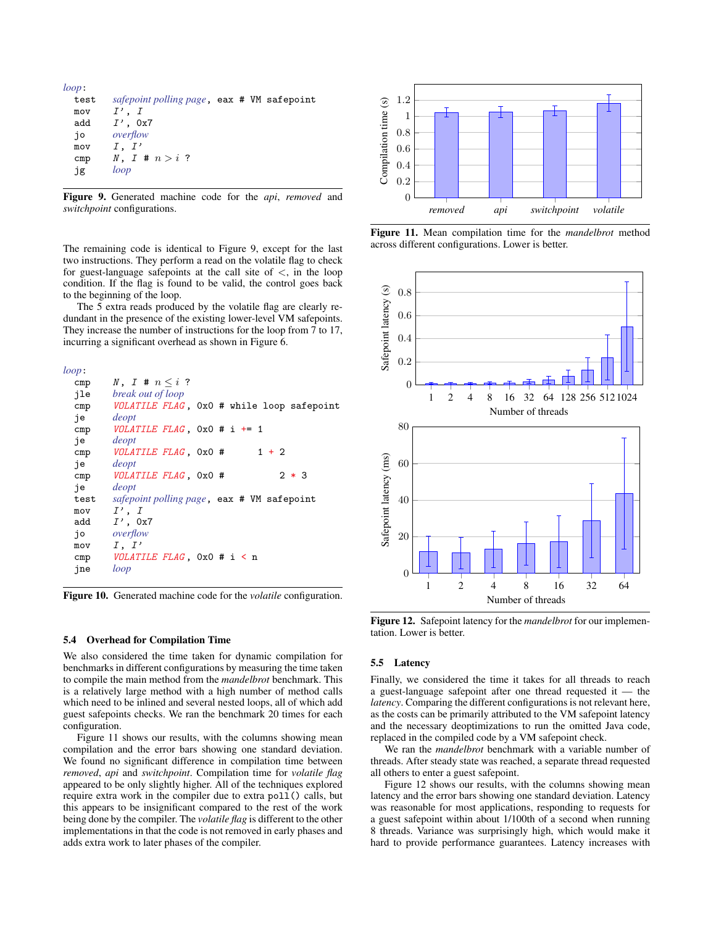| loop: |                                            |  |  |
|-------|--------------------------------------------|--|--|
| test  | safepoint polling page, eax # VM safepoint |  |  |
| mov   | $I'$ , $I$                                 |  |  |
| add   | $I'$ , 0x7                                 |  |  |
| io    | overflow                                   |  |  |
| mov   | I, I'                                      |  |  |
| cmp   | N, $I \# n > i$ ?                          |  |  |
| jg    | loop                                       |  |  |
|       |                                            |  |  |

<span id="page-7-0"></span>Figure 9. Generated machine code for the *api*, *removed* and *switchpoint* configurations.

The remaining code is identical to Figure [9,](#page-7-0) except for the last two instructions. They perform a read on the volatile flag to check for guest-language safepoints at the call site of  $\lt$ , in the loop condition. If the flag is found to be valid, the control goes back to the beginning of the loop.

The 5 extra reads produced by the volatile flag are clearly redundant in the presence of the existing lower-level VM safepoints. They increase the number of instructions for the loop from 7 to 17, incurring a significant overhead as shown in Figure [6.](#page-6-0)

*loop*:

```
cmp N, I \# n \leq i ?
jle break out of loop
cmp VOLATILE FLAG, 0x0 # while loop safepoint
je deopt
cmp VOLATILE FLAG, 0x0 # i
je deopt
cmp VOLATILE FLAG, 0x0 # 1 + 2je deopt
cmp VOLATILE FLAG, 0x0 # 2 * 3
je deopt
test safepoint polling page, eax # VM safepoint
mov I', Iadd I', 0x7
jo overflow
mov I, I'cmp VOLATILE FLAG, 0x0 # i < n
jne loop
```
<span id="page-7-1"></span>Figure 10. Generated machine code for the *volatile* configuration.

### 5.4 Overhead for Compilation Time

We also considered the time taken for dynamic compilation for benchmarks in different configurations by measuring the time taken to compile the main method from the *mandelbrot* benchmark. This is a relatively large method with a high number of method calls which need to be inlined and several nested loops, all of which add guest safepoints checks. We ran the benchmark 20 times for each configuration.

Figure [11](#page-7-2) shows our results, with the columns showing mean compilation and the error bars showing one standard deviation. We found no significant difference in compilation time between *removed*, *api* and *switchpoint*. Compilation time for *volatile flag* appeared to be only slightly higher. All of the techniques explored require extra work in the compiler due to extra poll() calls, but this appears to be insignificant compared to the rest of the work being done by the compiler. The *volatile flag* is different to the other implementations in that the code is not removed in early phases and adds extra work to later phases of the compiler.



<span id="page-7-2"></span>Figure 11. Mean compilation time for the *mandelbrot* method across different configurations. Lower is better.



<span id="page-7-3"></span>Figure 12. Safepoint latency for the *mandelbrot* for our implementation. Lower is better.

### 5.5 Latency

Finally, we considered the time it takes for all threads to reach a guest-language safepoint after one thread requested it — the *latency*. Comparing the different configurations is not relevant here, as the costs can be primarily attributed to the VM safepoint latency and the necessary deoptimizations to run the omitted Java code, replaced in the compiled code by a VM safepoint check.

We ran the *mandelbrot* benchmark with a variable number of threads. After steady state was reached, a separate thread requested all others to enter a guest safepoint.

Figure [12](#page-7-3) shows our results, with the columns showing mean latency and the error bars showing one standard deviation. Latency was reasonable for most applications, responding to requests for a guest safepoint within about 1/100th of a second when running 8 threads. Variance was surprisingly high, which would make it hard to provide performance guarantees. Latency increases with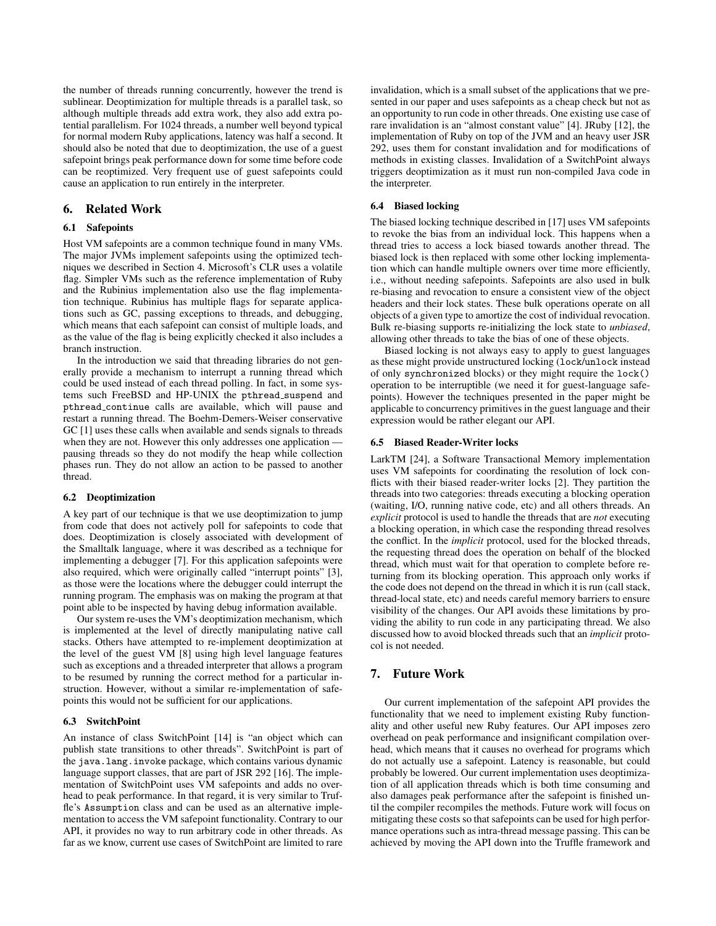the number of threads running concurrently, however the trend is sublinear. Deoptimization for multiple threads is a parallel task, so although multiple threads add extra work, they also add extra potential parallelism. For 1024 threads, a number well beyond typical for normal modern Ruby applications, latency was half a second. It should also be noted that due to deoptimization, the use of a guest safepoint brings peak performance down for some time before code can be reoptimized. Very frequent use of guest safepoints could cause an application to run entirely in the interpreter.

### 6. Related Work

### 6.1 Safepoints

Host VM safepoints are a common technique found in many VMs. The major JVMs implement safepoints using the optimized techniques we described in Section [4.](#page-3-0) Microsoft's CLR uses a volatile flag. Simpler VMs such as the reference implementation of Ruby and the Rubinius implementation also use the flag implementation technique. Rubinius has multiple flags for separate applications such as GC, passing exceptions to threads, and debugging, which means that each safepoint can consist of multiple loads, and as the value of the flag is being explicitly checked it also includes a branch instruction.

In the introduction we said that threading libraries do not generally provide a mechanism to interrupt a running thread which could be used instead of each thread polling. In fact, in some systems such FreeBSD and HP-UNIX the pthread suspend and pthread continue calls are available, which will pause and restart a running thread. The Boehm-Demers-Weiser conservative GC [\[1\]](#page-9-16) uses these calls when available and sends signals to threads when they are not. However this only addresses one application pausing threads so they do not modify the heap while collection phases run. They do not allow an action to be passed to another thread.

#### 6.2 Deoptimization

A key part of our technique is that we use deoptimization to jump from code that does not actively poll for safepoints to code that does. Deoptimization is closely associated with development of the Smalltalk language, where it was described as a technique for implementing a debugger [\[7\]](#page-9-17). For this application safepoints were also required, which were originally called "interrupt points" [\[3\]](#page-9-18), as those were the locations where the debugger could interrupt the running program. The emphasis was on making the program at that point able to be inspected by having debug information available.

Our system re-uses the VM's deoptimization mechanism, which is implemented at the level of directly manipulating native call stacks. Others have attempted to re-implement deoptimization at the level of the guest VM [\[8\]](#page-9-19) using high level language features such as exceptions and a threaded interpreter that allows a program to be resumed by running the correct method for a particular instruction. However, without a similar re-implementation of safepoints this would not be sufficient for our applications.

### 6.3 SwitchPoint

An instance of class SwitchPoint [\[14\]](#page-9-1) is "an object which can publish state transitions to other threads". SwitchPoint is part of the java.lang.invoke package, which contains various dynamic language support classes, that are part of JSR 292 [\[16\]](#page-9-14). The implementation of SwitchPoint uses VM safepoints and adds no overhead to peak performance. In that regard, it is very similar to Truffle's Assumption class and can be used as an alternative implementation to access the VM safepoint functionality. Contrary to our API, it provides no way to run arbitrary code in other threads. As far as we know, current use cases of SwitchPoint are limited to rare invalidation, which is a small subset of the applications that we presented in our paper and uses safepoints as a cheap check but not as an opportunity to run code in other threads. One existing use case of rare invalidation is an "almost constant value" [\[4\]](#page-9-20). JRuby [\[12\]](#page-9-2), the implementation of Ruby on top of the JVM and an heavy user JSR 292, uses them for constant invalidation and for modifications of methods in existing classes. Invalidation of a SwitchPoint always triggers deoptimization as it must run non-compiled Java code in the interpreter.

### 6.4 Biased locking

The biased locking technique described in [\[17\]](#page-9-21) uses VM safepoints to revoke the bias from an individual lock. This happens when a thread tries to access a lock biased towards another thread. The biased lock is then replaced with some other locking implementation which can handle multiple owners over time more efficiently, i.e., without needing safepoints. Safepoints are also used in bulk re-biasing and revocation to ensure a consistent view of the object headers and their lock states. These bulk operations operate on all objects of a given type to amortize the cost of individual revocation. Bulk re-biasing supports re-initializing the lock state to *unbiased*, allowing other threads to take the bias of one of these objects.

Biased locking is not always easy to apply to guest languages as these might provide unstructured locking (lock/unlock instead of only synchronized blocks) or they might require the lock() operation to be interruptible (we need it for guest-language safepoints). However the techniques presented in the paper might be applicable to concurrency primitives in the guest language and their expression would be rather elegant our API.

### 6.5 Biased Reader-Writer locks

LarkTM [\[24\]](#page-9-22), a Software Transactional Memory implementation uses VM safepoints for coordinating the resolution of lock conflicts with their biased reader-writer locks [\[2\]](#page-9-23). They partition the threads into two categories: threads executing a blocking operation (waiting, I/O, running native code, etc) and all others threads. An *explicit* protocol is used to handle the threads that are *not* executing a blocking operation, in which case the responding thread resolves the conflict. In the *implicit* protocol, used for the blocked threads, the requesting thread does the operation on behalf of the blocked thread, which must wait for that operation to complete before returning from its blocking operation. This approach only works if the code does not depend on the thread in which it is run (call stack, thread-local state, etc) and needs careful memory barriers to ensure visibility of the changes. Our API avoids these limitations by providing the ability to run code in any participating thread. We also discussed how to avoid blocked threads such that an *implicit* protocol is not needed.

# <span id="page-8-0"></span>7. Future Work

Our current implementation of the safepoint API provides the functionality that we need to implement existing Ruby functionality and other useful new Ruby features. Our API imposes zero overhead on peak performance and insignificant compilation overhead, which means that it causes no overhead for programs which do not actually use a safepoint. Latency is reasonable, but could probably be lowered. Our current implementation uses deoptimization of all application threads which is both time consuming and also damages peak performance after the safepoint is finished until the compiler recompiles the methods. Future work will focus on mitigating these costs so that safepoints can be used for high performance operations such as intra-thread message passing. This can be achieved by moving the API down into the Truffle framework and